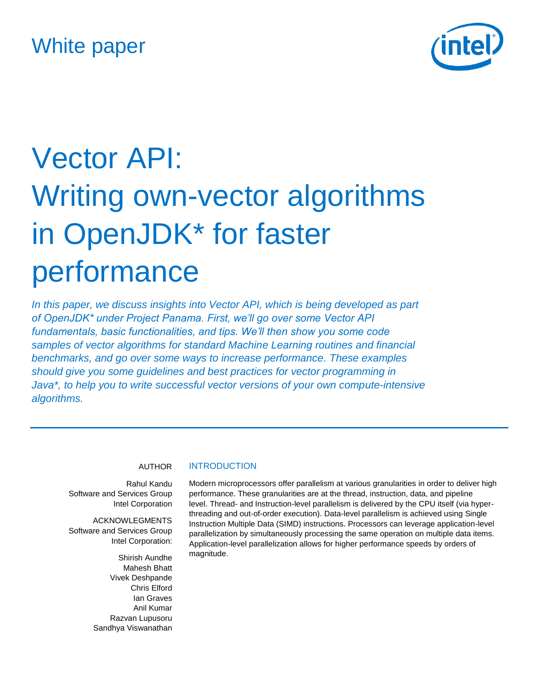# White paper



# Vector API: Writing own-vector algorithms in OpenJDK\* for faster performance

*In this paper, we discuss insights into Vector API, which is being developed as part of OpenJDK\* under Project Panama. First, we'll go over some Vector API fundamentals, basic functionalities, and tips. We'll then show you some code samples of vector algorithms for standard Machine Learning routines and financial benchmarks, and go over some ways to increase performance. These examples should give you some guidelines and best practices for vector programming in Java\*, to help you to write successful vector versions of your own compute-intensive algorithms.*

#### AUTHOR

Rahul Kandu Software and Services Group Intel Corporation

ACKNOWLEGMENTS Software and Services Group Intel Corporation:

> Shirish Aundhe Mahesh Bhatt Vivek Deshpande Chris Elford Ian Graves Anil Kumar Razvan Lupusoru Sandhya Viswanathan

#### **INTRODUCTION**

Modern microprocessors offer parallelism at various granularities in order to deliver high performance. These granularities are at the thread, instruction, data, and pipeline level. Thread- and Instruction-level parallelism is delivered by the CPU itself (via hyperthreading and out-of-order execution). Data-level parallelism is achieved using Single Instruction Multiple Data (SIMD) instructions. Processors can leverage application-level parallelization by simultaneously processing the same operation on multiple data items. Application-level parallelization allows for higher performance speeds by orders of magnitude.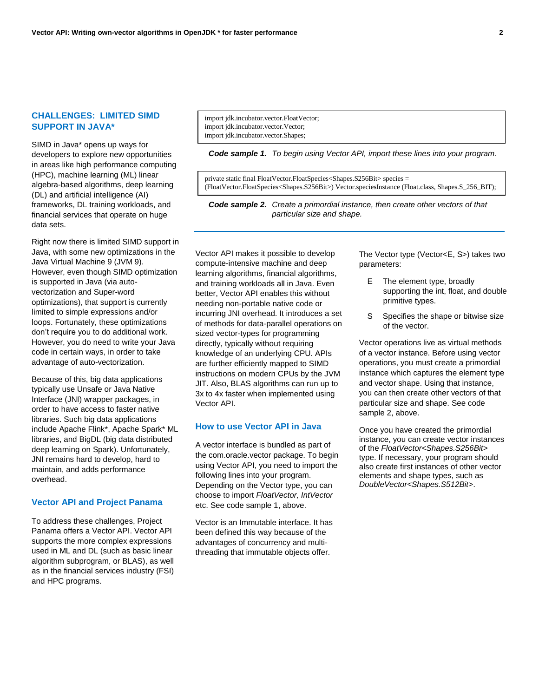# **CHALLENGES: LIMITED SIMD SUPPORT IN JAVA\***

SIMD in Java\* opens up ways for developers to explore new opportunities in areas like high performance computing (HPC), machine learning (ML) linear algebra-based algorithms, deep learning (DL) and artificial intelligence (AI) frameworks, DL training workloads, and financial services that operate on huge data sets.

Right now there is limited SIMD support in Java, with some new optimizations in the Java Virtual Machine 9 (JVM 9). However, even though SIMD optimization is supported in Java (via autovectorization and Super-word optimizations), that support is currently limited to simple expressions and/or loops. Fortunately, these optimizations don't require you to do additional work. However, you do need to write your Java code in certain ways, in order to take advantage of auto-vectorization.

Because of this, big data applications typically use Unsafe or Java Native Interface (JNI) wrapper packages, in order to have access to faster native libraries. Such big data applications include Apache Flink\*, Apache Spark\* ML libraries, and BigDL (big data distributed deep learning on Spark). Unfortunately, JNI remains hard to develop, hard to maintain, and adds performance overhead.

#### **Vector API and Project Panama**

To address these challenges, Project Panama offers a Vector API. Vector API supports the more complex expressions used in ML and DL (such as basic linear algorithm subprogram, or BLAS), as well as in the financial services industry (FSI) and HPC programs.

import jdk.incubator.vector.FloatVector; import jdk.incubator.vector.Vector; import jdk.incubator.vector.Shapes;

*Code sample 1. To begin using Vector API, import these lines into your program.*

private static final FloatVector.FloatSpecies<Shapes.S256Bit> species = (FloatVector.FloatSpecies<Shapes.S256Bit>) Vector.speciesInstance (Float.class, Shapes.S\_256\_BIT);

*Code sample 2. Create a primordial instance, then create other vectors of that particular size and shape.*

Vector API makes it possible to develop compute-intensive machine and deep learning algorithms, financial algorithms, and training workloads all in Java. Even better, Vector API enables this without needing non-portable native code or incurring JNI overhead. It introduces a set of methods for data-parallel operations on sized vector-types for programming directly, typically without requiring knowledge of an underlying CPU. APIs are further efficiently mapped to SIMD instructions on modern CPUs by the JVM JIT. Also, BLAS algorithms can run up to 3x to 4x faster when implemented using Vector API.

#### **How to use Vector API in Java**

A vector interface is bundled as part of the com.oracle.vector package. To begin using Vector API, you need to import the following lines into your program. Depending on the Vector type, you can choose to import *FloatVector, IntVector* etc. See code sample 1, above.

Vector is an Immutable interface. It has been defined this way because of the advantages of concurrency and multithreading that immutable objects offer.

The Vector type (Vector<E, S>) takes two parameters:

- E The element type, broadly supporting the int, float, and double primitive types.
- S Specifies the shape or bitwise size of the vector.

Vector operations live as virtual methods of a vector instance. Before using vector operations, you must create a primordial instance which captures the element type and vector shape. Using that instance, you can then create other vectors of that particular size and shape. See code sample 2, above.

Once you have created the primordial instance, you can create vector instances of the *FloatVector<Shapes.S256Bit>* type. If necessary, your program should also create first instances of other vector elements and shape types, such as *DoubleVector<Shapes.S512Bit>*.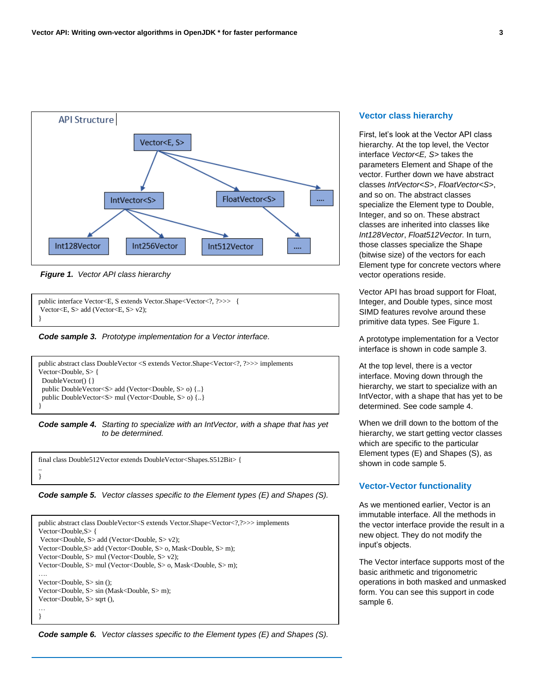

*Figure 1. Vector API class hierarchy*

```
public interface Vector<E, S extends Vector.Shape<Vector<?, ?>>> {
Vector<E, S> add (Vector<E, S> v2); 
}
```
*Code sample 3. Prototype implementation for a Vector interface. Code sample 3.Prototype implementation for a Vector interface.*



*Code sample 4. Starting to specialize with an IntVector, with a shape that has yet to be determined.*

final class Double512Vector extends DoubleVector<Shapes.S512Bit> { .. }

*Code sample 5. Vector classes specific to the Element types (E) and Shapes (S).*

```
public abstract class DoubleVector<S extends Vector.Shape<Vector<?,?>>> implements 
Vector<Double,S> { 
Vector<Double, S> add (Vector<Double, S> v2); 
Vector<Double,S> add (Vector<Double, S> o, Mask<Double, S> m);
Vector<Double, S> mul (Vector<Double, S> v2); 
Vector<Double, S> mul (Vector<Double, S> o, Mask<Double, S> m); 
….
Vector<Double, S> sin (); 
Vector<Double, S> sin (Mask<Double, S> m);
Vector<Double, S> sqrt (), 
…
}
```
*Code sample 6. Vector classes specific to the Element types (E) and Shapes (S).*

#### **Vector class hierarchy**

First, let's look at the Vector API class hierarchy. At the top level, the Vector interface *Vector<E, S>* takes the parameters Element and Shape of the vector. Further down we have abstract classes *IntVector<S>*, *FloatVector<S>*, and so on. The abstract classes specialize the Element type to Double, Integer, and so on. These abstract classes are inherited into classes like *Int128Vector*, *Float512Vector.* In turn, those classes specialize the Shape (bitwise size) of the vectors for each Element type for concrete vectors where vector operations reside.

Vector API has broad support for Float, Integer, and Double types, since most SIMD features revolve around these primitive data types. See Figure 1.

A prototype implementation for a Vector interface is shown in code sample 3.

At the top level, there is a vector interface. Moving down through the hierarchy, we start to specialize with an IntVector, with a shape that has yet to be determined. See code sample 4.

When we drill down to the bottom of the hierarchy, we start getting vector classes which are specific to the particular Element types (E) and Shapes (S), as shown in code sample 5.

#### **Vector-Vector functionality**

As we mentioned earlier, Vector is an immutable interface. All the methods in the vector interface provide the result in a new object. They do not modify the input's objects.

The Vector interface supports most of the basic arithmetic and trigonometric operations in both masked and unmasked form. You can see this support in code sample 6.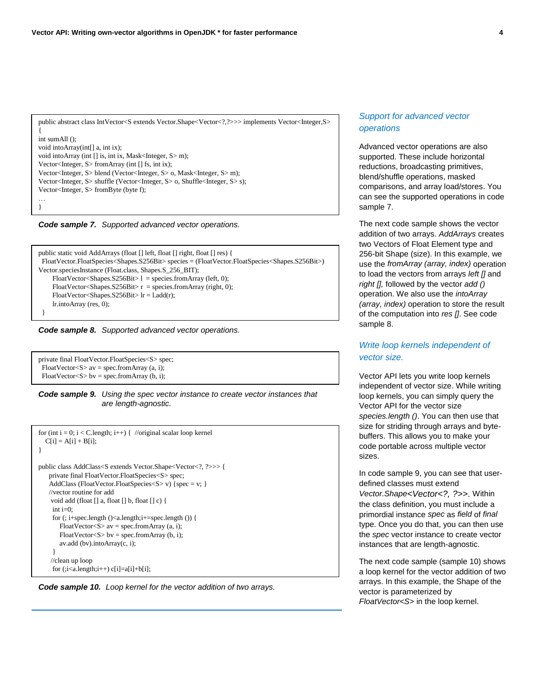public abstract class IntVector<S extends Vector.Shape<Vector<?,?>>> implements Vector<Integer,S> { int sumAll (); void intoArray(int[] a, int ix); void into Array (int [] is, int ix, Mask<Integer, S > m); Vector<Integer, S> fromArray (int [] fs, int ix); Vector<Integer, S> blend (Vector<Integer, S> o, Mask<Integer, S> m); Vector<Integer, S> shuffle (Vector<Integer, S> o, Shuffle<Integer, S> s); Vector<Integer, S> fromByte (byte f); …



```
public static void AddArrays (float [] left, float [] right, float [] res) {
  FloatVector.FloatSpecies<Shapes.S256Bit> species = (FloatVector.FloatSpecies<Shapes.S256Bit>) 
Vector.speciesInstance (Float.class, Shapes.S_256_BIT);
     FloatVector<Shapes.S256Bit>1 = species.fromArray (left, 0);
     FloatVector<Shapes.S256Bit> r = species.fromArray (right, 0);
     FloatVector<Shapes.S256Bit> lr = l.add(r);
      lr.intoArray (res, 0);
  }
```


```
private final FloatVector.FloatSpecies<S> spec;
 FloatVector<S> av = spec.fromArray (a, i);
 FloatVector<S> bv = spec.fromArray (b, i);
```
}

*Code sample 9. Using the spec vector instance to create vector instances that are length-agnostic.*

```
for (int i = 0; i < C.length; i++) { //original scalar loop kernel
  C[i] = A[i] + B[i];}
public class AddClass<S extends Vector.Shape<Vector<?, ?>>> {
    private final FloatVector.FloatSpecies<S> spec;
    AddClass (FloatVector.FloatSpecies<S> v) {spec = v; }
    //vector routine for add 
     void add (float [] a, float [] b, float [] c) {
     int i=0:
     for (; i+spec.length ()<a.length;i+=spec.length ()) {
       FloatVector<S> av = spec.fromArray (a, i);
       FloatVector<S> bv = spec.fromArray (b, i);
        av.add (bv).intoArray(c, i);
 }
     //clean up loop
     for (;i<a.length;i++)c[i]=a[i]+b[i];
```


# *Support for advanced vector operations*

Advanced vector operations are also supported. These include horizontal reductions, broadcasting primitives, blend/shuffle operations, masked comparisons, and array load/stores. You can see the supported operations in code sample 7.

The next code sample shows the vector addition of two arrays. *AddArrays* creates two Vectors of Float Element type and 256-bit Shape (size). In this example, we use the *fromArray (array, index)* operation to load the vectors from arrays *left []* and *right [],* followed by the vector *add ()* operation. We also use the *intoArray (array, index)* operation to store the result of the computation into *res []*. See code sample 8.

# *Write loop kernels independent of vector size.*

Vector API lets you write loop kernels independent of vector size. While writing loop kernels, you can simply query the Vector API for the vector size *species.length ()*. You can then use that size for striding through arrays and bytebuffers. This allows you to make your code portable across multiple vector sizes.

In code sample 9, you can see that userdefined classes must extend *Vector.Shape<Vector<?, ?>>*. Within the class definition, you must include a primordial instance *spec* as *field* of *final* type. Once you do that, you can then use the *spec* vector instance to create vector instances that are length-agnostic.

The next code sample (sample 10) shows a loop kernel for the vector addition of two arrays. In this example, the Shape of the vector is parameterized by *FloatVector<S>* in the loop kernel.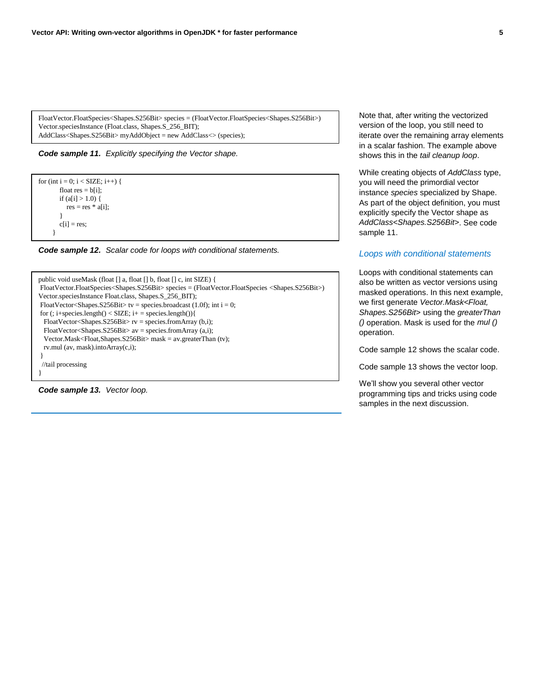```
FloatVector.FloatSpecies<Shapes.S256Bit> species = (FloatVector.FloatSpecies<Shapes.S256Bit>) 
Vector.speciesInstance (Float.class, Shapes.S_256_BIT);
AddClass<Shapes.S256Bit> myAddObject = new AddClass<> (species);
```


```
for (int i = 0; i < SIZE; i++) {
        float res = b[i];
        if (a[i] > 1.0) {
           res = res * a[i];\qquad \qquad \}c[i] = res;
       }
```
*Code sample 12. Scalar code for loops with conditional statements.*

```
public void useMask (float [] a, float [] b, float [] c, int SIZE) {
FloatVector.FloatSpecies<Shapes.S256Bit> species = (FloatVector.FloatSpecies <Shapes.S256Bit>) 
Vector.speciesInstance Float.class, Shapes.S_256_BIT);
FloatVector<Shapes.S256Bit> tv = species.broadcast (1.0f); int i = 0;
for (; i+species.length() < SIZE; i+ = species.length()\{ FloatVector<Shapes.S256Bit> rv = species.fromArray (b,i);
  FloatVector<Shapes.S256Bit> av = species.fromArray (a,i);
   Vector.Mask<Float,Shapes.S256Bit> mask = av.greaterThan (tv);
  rv.mul (av, mask).intoArray(c,i);
}
  //tail processing 
}
```
*Code sample 13. Vector loop.*

Note that, after writing the vectorized version of the loop, you still need to iterate over the remaining array elements in a scalar fashion. The example above shows this in the *tail cleanup loop*.

While creating objects of *AddClass* type, you will need the primordial vector instance *species* specialized by Shape. As part of the object definition, you must explicitly specify the Vector shape as *AddClass<Shapes.S256Bit>*. See code sample 11.

#### *Loops with conditional statements*

Loops with conditional statements can also be written as vector versions using masked operations. In this next example, we first generate *Vector.Mask<Float, Shapes.S256Bit>* using the *greaterThan ()* operation. Mask is used for the *mul ()* operation.

Code sample 12 shows the scalar code.

Code sample 13 shows the vector loop.

We'll show you several other vector programming tips and tricks using code samples in the next discussion.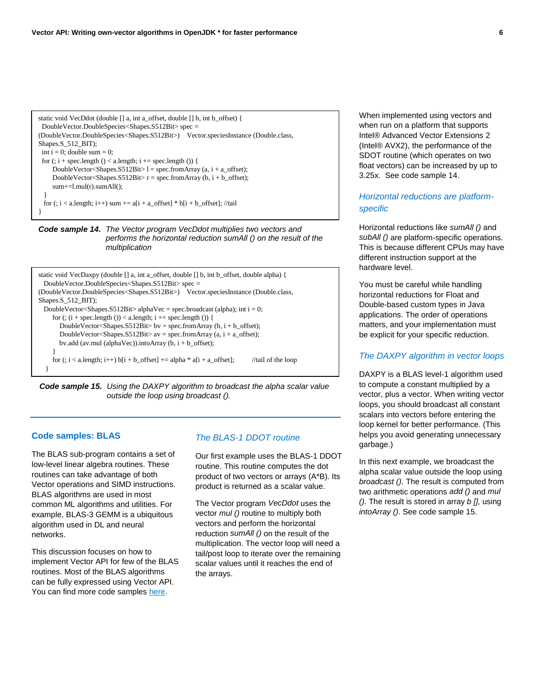```
static void VecDdot (double [] a, int a_offset, double [] b, int b_offset) {
  DoubleVector.DoubleSpecies<Shapes.S512Bit> spec = 
(DoubleVector.DoubleSpecies<Shapes.S512Bit>) Vector.speciesInstance (Double.class, 
Shapes.S_512_BIT);
 int i = 0; double sum = 0;
 for (i + spec.length() < a.length; i += spec.length()) {
     DoubleVector<Shapes.S512Bit>1 = spec.fromArray (a, i + a_offset);
     DoubleVector<Shapes.S512Bit> r = spec.formatrray (b, i + b_offset);
      sum+=l.mul(r).sumAll();
 }
 for (; i < a.length; i++) sum += a[i + a_{of}fset] * b[i + b_{of}fset]; //tail
}
```


```
static void VecDaxpy (double [] a, int a_offset, double [] b, int b_offset, double alpha) {
  DoubleVector.DoubleSpecies<Shapes.S512Bit> spec = 
(DoubleVector.DoubleSpecies<Shapes.S512Bit>) Vector.speciesInstance (Double.class, 
Shapes.S_512_BIT);
 DoubleVector<Shapes.S512Bit> alphaVec = spec.broadcast (alpha); int i = 0;
     for (; (i + spec.length()) < a.length; i + = spec.length()) {
       DoubleVector<Shapes.S512Bit> bv = spec.fromArray (b, i + b_offset);
       DoubleVector<Shapes.S512Bit> av = spec.fromArray (a, i + a_offset);
       bv.add (av.mul (alphaVec)).intoArray (b, i + b_offset);
 }
     for (i, i < a.length; i++) b[i + b_offset] += alpha * a[i + a_offset]; //tail of the loop
   }
```


#### **Code samples: BLAS**

The BLAS sub-program contains a set of low-level linear algebra routines. These routines can take advantage of both Vector operations and SIMD instructions. BLAS algorithms are used in most common ML algorithms and utilities. For example, BLAS-3 GEMM is a ubiquitous algorithm used in DL and neural networks.

This discussion focuses on how to implement Vector API for few of the BLAS routines. Most of the BLAS algorithms can be fully expressed using Vector API. You can find more code samples [here.](https://software.intel.com/en-us/articles/vector-api-developer-program-for-java)

#### *The BLAS-1 DDOT routine*

Our first example uses the BLAS-1 DDOT routine. This routine computes the dot product of two vectors or arrays (A\*B). Its product is returned as a scalar value.

The Vector program *VecDdot* uses the vector *mul ()* routine to multiply both vectors and perform the horizontal reduction *sumAll ()* on the result of the multiplication. The vector loop will need a tail/post loop to iterate over the remaining scalar values until it reaches the end of the arrays.

When implemented using vectors and when run on a platform that supports Intel® Advanced Vector Extensions 2 (Intel® AVX2), the performance of the SDOT routine (which operates on two float vectors) can be increased by up to 3.25x. See code sample 14.

# *Horizontal reductions are platformspecific*

Horizontal reductions like *sumAll ()* and *subAll ()* are platform-specific operations. This is because different CPUs may have different instruction support at the hardware level.

You must be careful while handling horizontal reductions for Float and Double-based custom types in Java applications. The order of operations matters, and your implementation must be explicit for your specific reduction.

#### *The DAXPY algorithm in vector loops*

DAXPY is a BLAS level-1 algorithm used to compute a constant multiplied by a vector, plus a vector. When writing vector loops, you should broadcast all constant scalars into vectors before entering the loop kernel for better performance. (This helps you avoid generating unnecessary garbage.)

In this next example, we broadcast the alpha scalar value outside the loop using *broadcast ()*. The result is computed from two arithmetic operations *add ()* and *mul ()*. The result is stored in array *b [],* using *intoArray ()*. See code sample 15.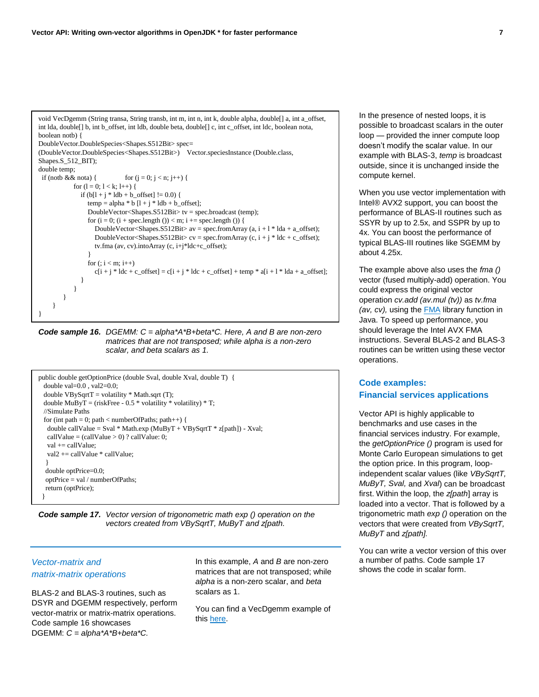void VecDgemm (String transa, String transb, int m, int n, int k, double alpha, double[] a, int a\_offset, int lda, double[] b, int b\_offset, int ldb, double beta, double[] c, int c\_offset, int ldc, boolean nota, boolean notb) { DoubleVector.DoubleSpecies<Shapes.S512Bit> spec=

```
(DoubleVector.DoubleSpecies<Shapes.S512Bit>) Vector.speciesInstance (Double.class, 
Shapes.S_512_BIT);
double temp; 
 if (notb && nota) { for (j = 0; j < n; j++) {
           for (l = 0; 1 < k; l++) {
              if (b[1 + j * 1db + b_0ffset] = 0.0)temp = alpha * b [l + j * ldb + b_{offset}]; DoubleVector<Shapes.S512Bit> tv = spec.broadcast (temp);
                for (i = 0; (i + spec.length()) < m; i += spec.length() {
                   DoubleVector<Shapes.S512Bit> av = spec.fromArray (a, i + 1 * lda + a_offset);
                   DoubleVector<Shapes.S512Bit> cv = spec.fromArray (c, i + j * ldc + c_offset);
                    tv.fma (av, cv).intoArray (c, i+j*ldc+c_offset);
 }
                for (i : i < m; i++)c[i + j * ldc + c_{of}fset] = c[i + j * ldc + c_{off}fset] + temp * a[i + l * lda + a_{off}fset]; }
            }
         }
     }
}
```
*Code sample 16. DGEMM: C = alpha\*A\*B+beta\*C. Here, A and B are non-zero matrices that are not transposed; while alpha is a non-zero scalar, and beta scalars as 1.*

```
public double getOptionPrice (double Sval, double Xval, double T) {
  double val=0.0 , val2=0.0;
 double VBySqrtT = volatility * Math.sqrt(T);double MuByT = (riskFree - 0.5 * volatility * volatility) * T;
  //Simulate Paths
 for (int path = 0; path < numberOfPaths; path + +) {
   double callValue = Sval * Math.exp (MuByT + VBySqrtT * z[path]) - Xval;
   callValue = (callValue > 0) ? callValue: 0;
   val += callValue;
    val2 += callValue * callValue;
 }
   double optPrice=0.0;
   optPrice = val / numberOfPaths;
   return (optPrice);
 }
```
*Code sample 17. Vector version of trigonometric math exp () operation on the vectors created from VBySqrtT, MuByT and z[path.*

# *Vector-matrix and matrix-matrix operations*

BLAS-2 and BLAS-3 routines, such as DSYR and DGEMM respectively, perform vector-matrix or matrix-matrix operations. Code sample 16 showcases DGEMM: *C = alpha\*A\*B+beta\*C.* 

In this example, *A* and *B* are non-zero matrices that are not transposed; while *alpha* is a non-zero scalar, and *beta* scalars as 1.

You can find a VecDgemm example of thi[s here.](https://software.intel.com/en-us/articles/vector-api-developer-program-for-java)

In the presence of nested loops, it is possible to broadcast scalars in the outer loop — provided the inner compute loop doesn't modify the scalar value. In our example with BLAS-3, *temp* is broadcast outside, since it is unchanged inside the compute kernel.

When you use vector implementation with Intel® AVX2 support, you can boost the performance of BLAS-II routines such as SSYR by up to 2.5x, and SSPR by up to 4x. You can boost the performance of typical BLAS-III routines like SGEMM by about 4.25x.

The example above also uses the *fma ()* vector (fused multiply-add) operation. You could express the original vector operation *cv.add (av.mul (tv))* as *tv.fma (av, cv), using the FMA library function in* Java. To speed up performance, you should leverage the Intel AVX FMA instructions. Several BLAS-2 and BLAS-3 routines can be written using these vector operations.

# **Code examples: Financial services applications**

Vector API is highly applicable to benchmarks and use cases in the financial services industry. For example, the *getOptionPrice ()* program is used for Monte Carlo European simulations to get the option price. In this program, loopindependent scalar values (like *VBySqrtT, MuByT, Sval,* and *Xval*) can be broadcast first. Within the loop, the *z[path*] array is loaded into a vector. That is followed by a trigonometric math *exp ()* operation on the vectors that were created from *VBySqrtT, MuByT* and *z[path].*

You can write a vector version of this over a number of paths. Code sample 17 shows the code in scalar form.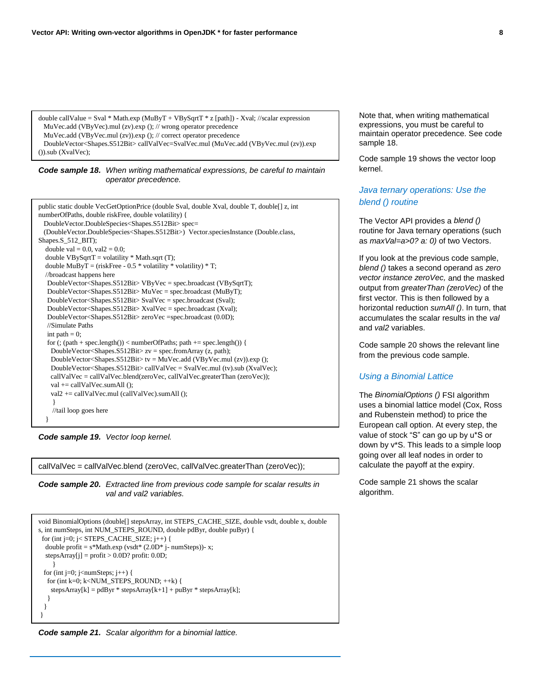```
double callValue = Sval * Math.exp (MuByT + VBySqrtT * z [path]) - Xval; //scalar expression
  MuVec.add (VByVec).mul (zv).exp (); // wrong operator precedence 
  MuVec.add (VByVec.mul (zv)).exp (); // correct operator precedence 
  DoubleVector<Shapes.S512Bit> callValVec=SvalVec.mul (MuVec.add (VByVec.mul (zv)).exp 
()).sub (XvalVec);
```
*Code sample 18. When writing mathematical expressions, be careful to maintain operator precedence.*

```
public static double VecGetOptionPrice (double Sval, double Xval, double T, double[] z, int 
numberOfPaths, double riskFree, double volatility) {
  DoubleVector.DoubleSpecies<Shapes.S512Bit> spec= 
  (DoubleVector.DoubleSpecies<Shapes.S512Bit>) Vector.speciesInstance (Double.class, 
Shapes.S_512_BIT);
  double val = 0.0, val2 = 0.0;
  double VBySqrt = volatility * Math.sqrt(T);double MuByT = (riskFree - 0.5 * volatility * volatility) * T;
   //broadcast happens here 
    DoubleVector<Shapes.S512Bit> VByVec = spec.broadcast (VBySqrtT);
    DoubleVector<Shapes.S512Bit> MuVec = spec.broadcast (MuByT);
    DoubleVector<Shapes.S512Bit> SvalVec = spec.broadcast (Sval);
    DoubleVector<Shapes.S512Bit> XvalVec = spec.broadcast (Xval);
    DoubleVector<Shapes.S512Bit> zeroVec =spec.broadcast (0.0D);
    //Simulate Paths
   int path = 0;
    for (; (path + spec.length()) < numberOfPaths; path += spec.length()) {
     DoubleVector<Shapes.S512Bit> zv = spec.fromArray (z, path);
     DoubleVector<Shapes.S512Bit> tv = MuVec.add (VByVec.mul (zv)).exp (); 
     DoubleVector<Shapes.S512Bit> callValVec = SvalVec.mul (tv).sub (XvalVec);
     callValVec = callValVec.blend(zeroVec, callValVec.greaterThan (zeroVec));
    val += callValVec.sumAll ();
    val2 += callValVec.mul (callValVec).sumAll ();
 }
     //tail loop goes here 
 }
```
*Code sample 19. Vector loop kernel.*

callValVec = callValVec.blend (zeroVec, callValVec.greaterThan (zeroVec));

*Code sample 20. Extracted line from previous code sample for scalar results in val and val2 variables.*

```
void BinomialOptions (double[] stepsArray, int STEPS_CACHE_SIZE, double vsdt, double x, double 
s, int numSteps, int NUM_STEPS_ROUND, double pdByr, double puByr) {
 for (int j=0; j< STEPS<sub>_CACHE_SIZE; j++)</sub> {
  double profit = s*Math.exp (vsdt* (2.0D* j- numSteps))- x;
  stepsArray[i] = profit > 0.0D? profit: 0.0D; }
 for (int j=0; j<numSteps; j++) {
   for (int k=0; k<NUM_STEPS_ROUND; ++k) {
    stepsArray[k] = pdByr * stepsArray[k+1] + puByr * stepsArray[k]; }
  }
}
```


Note that, when writing mathematical expressions, you must be careful to maintain operator precedence. See code sample 18.

Code sample 19 shows the vector loop kernel.

# *Java ternary operations: Use the blend () routine*

The Vector API provides a *blend ()* routine for Java ternary operations (such as *maxVal=a>0? a: 0)* of two Vectors.

If you look at the previous code sample, *blend ()* takes a second operand as *zero vector instance zeroVec,* and the masked output from *greaterThan (zeroVec)* of the first vector*.* This is then followed by a horizontal reduction *sumAll ()*. In turn, that accumulates the scalar results in the *val* and *val2* variables.

Code sample 20 shows the relevant line from the previous code sample.

#### *Using a Binomial Lattice*

The *BinomialOptions ()* FSI algorithm uses a binomial lattice model (Cox, Ross and Rubenstein method) to price the European call option. At every step, the value of stock "S" can go up by u\*S or down by v\*S. This leads to a simple loop going over all leaf nodes in order to calculate the payoff at the expiry.

Code sample 21 shows the scalar algorithm.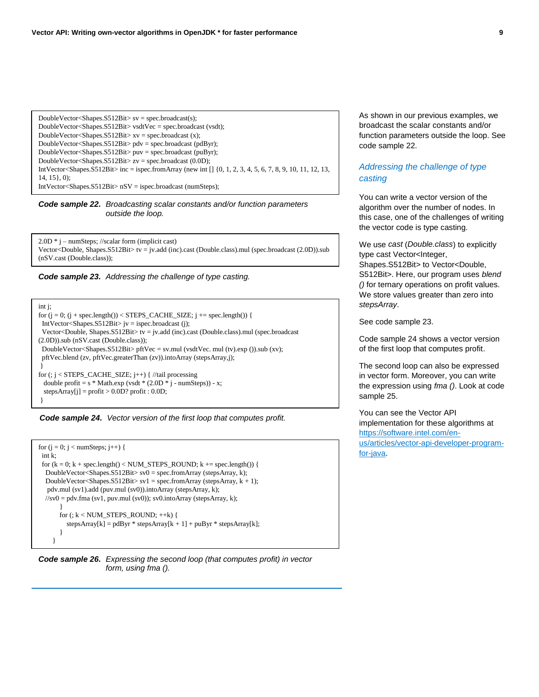DoubleVector<Shapes.S512Bit>  $sv = spec.broadcast(s);$ DoubleVector<Shapes.S512Bit> vsdtVec = spec.broadcast (vsdt); DoubleVector<Shapes.S512Bit> xv = spec.broadcast (x); DoubleVector<Shapes.S512Bit> pdv = spec.broadcast (pdByr); DoubleVector<Shapes.S512Bit> puv = spec.broadcast (puByr); DoubleVector<Shapes.S512Bit> zv = spec.broadcast (0.0D); IntVector<Shapes.S512Bit> inc = ispec.fromArray (new int [] {0, 1, 2, 3, 4, 5, 6, 7, 8, 9, 10, 11, 12, 13, 14, 15}, 0); IntVector<Shapes.S512Bit> nSV = ispec.broadcast (numSteps);

*Code sample 22. Broadcasting scalar constants and/or function parameters outside the loop.*

2.0D \* j – numSteps; //scalar form (implicit cast) Vector<Double, Shapes.S512Bit> tv = jv.add (inc).cast (Double.class).mul (spec.broadcast (2.0D)).sub (nSV.cast (Double.class));



int j;

```
for (j = 0; (j + spec.length()) < STEPS_CACHE_SIZE; j + = spec.length() {
  IntVector<Shapes.S512Bit> jv = ispec.broadcast (j);
  Vector<Double, Shapes.S512Bit> tv = jv.add (inc).cast (Double.class).mul (spec.broadcast
(2.0D)).sub (nSV.cast (Double.class));
  DoubleVector<Shapes.S512Bit> pftVec = sv.mul (vsdtVec. mul (tv).exp ()).sub (xv);
  pftVec.blend (zv, pftVec.greaterThan (zv)).intoArray (stepsArray,j);
 } 
for (; j < STEPS_CACHE_SIZE; j++) \frac{1}{\pi} //tail processing
 double profit = s * Math.exp (vsdt * (2.0D * j - numSteps)) - x;stepsArray[j] = profit > 0.0D? profit : 0.0D;}
```
*Code sample 24. Vector version of the first loop that computes profit.*

```
for (j = 0; j < numSteps; j++) {
  int k;
 for (k = 0; k + spec.length() < NUM\_STEPS\_ROUND; k += spec.length()) {
   DoubleVector<Shapes.S512Bit> sv0 = spec.fromArray (stepsArray, k);
  DoubleVector<Shapes.S512Bit> sv1 = spec.fromArray (stepsArray, k + 1);
    pdv.mul (sv1).add (puv.mul (sv0)).intoArray (stepsArray, k); 
  \frac{1}{s}v0 = pdv.fma (sv1, puv.mul (sv0)); sv0.intoArray (stepsArray, k);
\qquad \qquad \}for (k < NUM STEPS ROUND; ++k) {
         stepsArray[k] = pdByr * stepsArray[k + 1] + puByr * stepsArray[k]; }
      }
```


As shown in our previous examples, we broadcast the scalar constants and/or function parameters outside the loop. See code sample 22.

# *Addressing the challenge of type casting*

You can write a vector version of the algorithm over the number of nodes. In this case, one of the challenges of writing the vector code is type casting.

We use *cast* (*Double.class*) to explicitly type cast Vector<Integer, Shapes.S512Bit> to Vector<Double, S512Bit>. Here, our program uses *blend ()* for ternary operations on profit values. We store values greater than zero into *stepsArray*.

See code sample 23.

Code sample 24 shows a vector version of the first loop that computes profit.

The second loop can also be expressed in vector form. Moreover, you can write the expression using *fma ()*. Look at code sample 25.

You can see the Vector API implementation for these algorithms at [https://software.intel.com/en](https://software.intel.com/en-us/articles/vector-api-developer-program-for-java)[us/articles/vector-api-developer-program](https://software.intel.com/en-us/articles/vector-api-developer-program-for-java)[for-java.](https://software.intel.com/en-us/articles/vector-api-developer-program-for-java)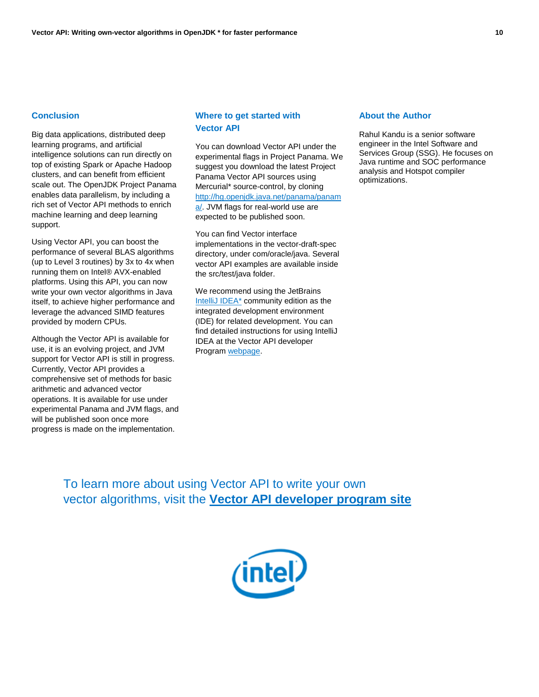### **Conclusion**

Big data applications, distributed deep learning programs, and artificial intelligence solutions can run directly on top of existing Spark or Apache Hadoop clusters, and can benefit from efficient scale out. The OpenJDK Project Panama enables data parallelism, by including a rich set of Vector API methods to enrich machine learning and deep learning support.

Using Vector API, you can boost the performance of several BLAS algorithms (up to Level 3 routines) by 3x to 4x when running them on Intel® AVX-enabled platforms. Using this API, you can now write your own vector algorithms in Java itself, to achieve higher performance and leverage the advanced SIMD features provided by modern CPUs.

Although the Vector API is available for use, it is an evolving project, and JVM support for Vector API is still in progress. Currently, Vector API provides a comprehensive set of methods for basic arithmetic and advanced vector operations. It is available for use under experimental Panama and JVM flags, and will be published soon once more progress is made on the implementation.

# **Where to get started with Vector API**

You can download Vector API under the experimental flags in Project Panama. We suggest you download the latest Project Panama Vector API sources using Mercurial\* source-control, by cloning [http://hg.openjdk.java.net/panama/panam](http://hg.openjdk.java.net/panama/panama/) [a/.](http://hg.openjdk.java.net/panama/panama/) JVM flags for real-world use are expected to be published soon.

You can find Vector interface implementations in the vector-draft-spec directory, under com/oracle/java. Several vector API examples are available inside the src/test/java folder.

We recommend using the JetBrains [IntelliJ IDEA\\*](https://www.jetbrains.com/idea/download/#section=linux) community edition as the integrated development environment (IDE) for related development. You can find detailed instructions for using IntelliJ IDEA at the Vector API developer Program [webpage.](https://software.intel.com/en-us/articles/vector-api-developer-program-for-java)

#### **About the Author**

Rahul Kandu is a senior software engineer in the Intel Software and Services Group (SSG). He focuses on Java runtime and SOC performance analysis and Hotspot compiler optimizations.

To learn more about using Vector API to write your own vector algorithms, visit the **[Vector API developer program site](https://software.intel.com/en-us/articles/vector-api-developer-program-for-java)**